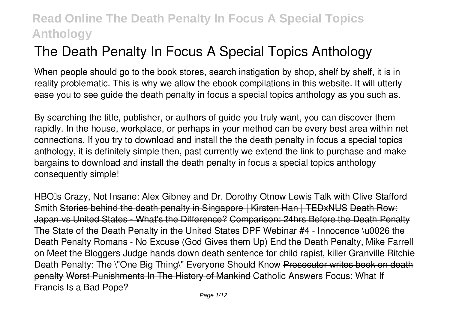# **The Death Penalty In Focus A Special Topics Anthology**

When people should go to the book stores, search instigation by shop, shelf by shelf, it is in reality problematic. This is why we allow the ebook compilations in this website. It will utterly ease you to see guide **the death penalty in focus a special topics anthology** as you such as.

By searching the title, publisher, or authors of guide you truly want, you can discover them rapidly. In the house, workplace, or perhaps in your method can be every best area within net connections. If you try to download and install the the death penalty in focus a special topics anthology, it is definitely simple then, past currently we extend the link to purchase and make bargains to download and install the death penalty in focus a special topics anthology consequently simple!

HBO<sub>II</sub>'s Crazy, Not Insane: Alex Gibney and Dr. Dorothy Otnow Lewis Talk with Clive Stafford Smith Stories behind the death penalty in Singapore | Kirsten Han | TEDxNUS Death Row: Japan vs United States - What's the Difference? Comparison: 24hrs Before the Death Penalty *The State of the Death Penalty in the United States DPF Webinar #4 - Innocence \u0026 the Death Penalty Romans - No Excuse (God Gives them Up)* **End the Death Penalty, Mike Farrell on Meet the Bloggers Judge hands down death sentence for child rapist, killer Granville Ritchie** *Death Penalty: The \"One Big Thing\" Everyone Should Know Prosecutor writes book on death* penalty Worst Punishments In The History of Mankind *Catholic Answers Focus: What If Francis Is a Bad Pope?*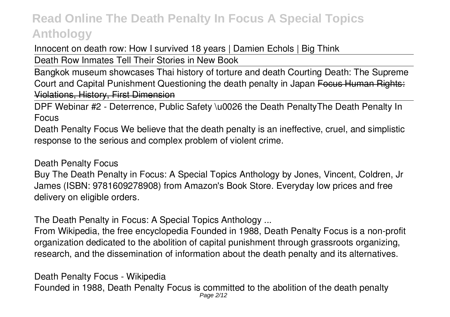Innocent on death row: How I survived 18 years | Damien Echols | Big Think

Death Row Inmates Tell Their Stories in New Book

Bangkok museum showcases Thai history of torture and death Courting Death: The Supreme Court and Capital Punishment Questioning the death penalty in Japan Focus Human Rights: Violations, History, First Dimension

DPF Webinar #2 - Deterrence, Public Safety \u0026 the Death Penalty*The Death Penalty In Focus*

Death Penalty Focus We believe that the death penalty is an ineffective, cruel, and simplistic response to the serious and complex problem of violent crime.

*Death Penalty Focus*

Buy The Death Penalty in Focus: A Special Topics Anthology by Jones, Vincent, Coldren, Jr James (ISBN: 9781609278908) from Amazon's Book Store. Everyday low prices and free delivery on eligible orders.

*The Death Penalty in Focus: A Special Topics Anthology ...*

From Wikipedia, the free encyclopedia Founded in 1988, Death Penalty Focus is a non-profit organization dedicated to the abolition of capital punishment through grassroots organizing, research, and the dissemination of information about the death penalty and its alternatives.

*Death Penalty Focus - Wikipedia*

Founded in 1988, Death Penalty Focus is committed to the abolition of the death penalty Page 2/12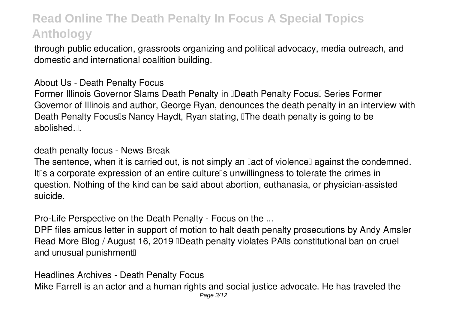through public education, grassroots organizing and political advocacy, media outreach, and domestic and international coalition building.

#### *About Us - Death Penalty Focus*

Former Illinois Governor Slams Death Penalty in **IDeath Penalty Focus** IS Series Former Governor of Illinois and author, George Ryan, denounces the death penalty in an interview with Death Penalty Focus<sup>®</sup>s Nancy Haydt, Ryan stating, <sup>®</sup>The death penalty is going to be abolished.<sup>[]</sup>.

*death penalty focus - News Break*

The sentence, when it is carried out, is not simply an lact of violencel against the condemned. It<sup>n</sup>s a corporate expression of an entire culture<sup>n</sup>s unwillingness to tolerate the crimes in question. Nothing of the kind can be said about abortion, euthanasia, or physician-assisted suicide.

*Pro-Life Perspective on the Death Penalty - Focus on the ...*

DPF files amicus letter in support of motion to halt death penalty prosecutions by Andy Amsler Read More Blog / August 16, 2019 **Death penalty violates PAIs constitutional ban on cruel** and unusual punishment<sup>[]</sup>

*Headlines Archives - Death Penalty Focus* Mike Farrell is an actor and a human rights and social justice advocate. He has traveled the Page 3/12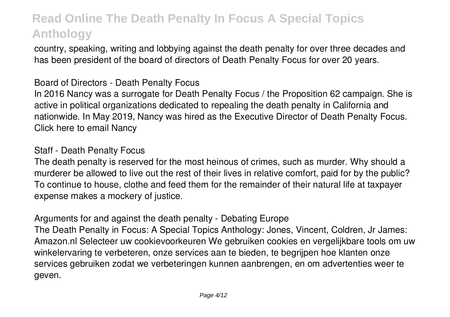country, speaking, writing and lobbying against the death penalty for over three decades and has been president of the board of directors of Death Penalty Focus for over 20 years.

*Board of Directors - Death Penalty Focus*

In 2016 Nancy was a surrogate for Death Penalty Focus / the Proposition 62 campaign. She is active in political organizations dedicated to repealing the death penalty in California and nationwide. In May 2019, Nancy was hired as the Executive Director of Death Penalty Focus. Click here to email Nancy

#### *Staff - Death Penalty Focus*

The death penalty is reserved for the most heinous of crimes, such as murder. Why should a murderer be allowed to live out the rest of their lives in relative comfort, paid for by the public? To continue to house, clothe and feed them for the remainder of their natural life at taxpayer expense makes a mockery of justice.

#### *Arguments for and against the death penalty - Debating Europe*

The Death Penalty in Focus: A Special Topics Anthology: Jones, Vincent, Coldren, Jr James: Amazon.nl Selecteer uw cookievoorkeuren We gebruiken cookies en vergelijkbare tools om uw winkelervaring te verbeteren, onze services aan te bieden, te begrijpen hoe klanten onze services gebruiken zodat we verbeteringen kunnen aanbrengen, en om advertenties weer te geven.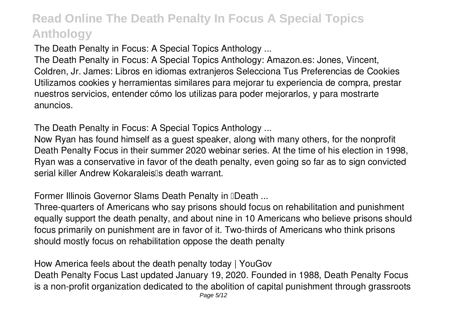*The Death Penalty in Focus: A Special Topics Anthology ...*

The Death Penalty in Focus: A Special Topics Anthology: Amazon.es: Jones, Vincent, Coldren, Jr. James: Libros en idiomas extranjeros Selecciona Tus Preferencias de Cookies Utilizamos cookies y herramientas similares para mejorar tu experiencia de compra, prestar nuestros servicios, entender cómo los utilizas para poder mejorarlos, y para mostrarte anuncios.

*The Death Penalty in Focus: A Special Topics Anthology ...*

Now Ryan has found himself as a guest speaker, along with many others, for the nonprofit Death Penalty Focus in their summer 2020 webinar series. At the time of his election in 1998, Ryan was a conservative in favor of the death penalty, even going so far as to sign convicted serial killer Andrew Kokaraleis<sup>'</sup>s death warrant.

*Former Illinois Governor Slams Death Penalty in 'Death ...*

Three-quarters of Americans who say prisons should focus on rehabilitation and punishment equally support the death penalty, and about nine in 10 Americans who believe prisons should focus primarily on punishment are in favor of it. Two-thirds of Americans who think prisons should mostly focus on rehabilitation oppose the death penalty

*How America feels about the death penalty today | YouGov*

Death Penalty Focus Last updated January 19, 2020. Founded in 1988, Death Penalty Focus is a non-profit organization dedicated to the abolition of capital punishment through grassroots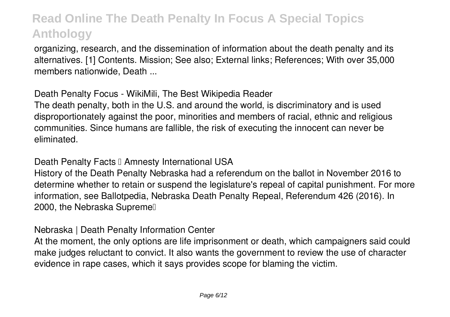organizing, research, and the dissemination of information about the death penalty and its alternatives. [1] Contents. Mission; See also; External links; References; With over 35,000 members nationwide, Death ...

*Death Penalty Focus - WikiMili, The Best Wikipedia Reader*

The death penalty, both in the U.S. and around the world, is discriminatory and is used disproportionately against the poor, minorities and members of racial, ethnic and religious communities. Since humans are fallible, the risk of executing the innocent can never be eliminated.

**Death Penalty Facts I Amnesty International USA** 

History of the Death Penalty Nebraska had a referendum on the ballot in November 2016 to determine whether to retain or suspend the legislature's repeal of capital punishment. For more information, see Ballotpedia, Nebraska Death Penalty Repeal, Referendum 426 (2016). In 2000, the Nebraska Supreme

*Nebraska | Death Penalty Information Center*

At the moment, the only options are life imprisonment or death, which campaigners said could make judges reluctant to convict. It also wants the government to review the use of character evidence in rape cases, which it says provides scope for blaming the victim.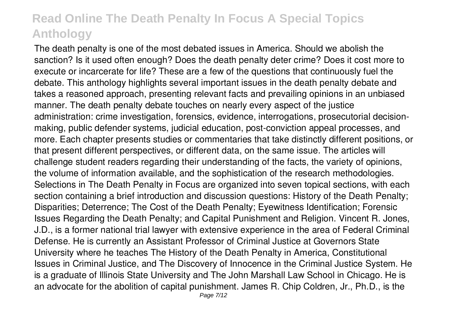The death penalty is one of the most debated issues in America. Should we abolish the sanction? Is it used often enough? Does the death penalty deter crime? Does it cost more to execute or incarcerate for life? These are a few of the questions that continuously fuel the debate. This anthology highlights several important issues in the death penalty debate and takes a reasoned approach, presenting relevant facts and prevailing opinions in an unbiased manner. The death penalty debate touches on nearly every aspect of the justice administration: crime investigation, forensics, evidence, interrogations, prosecutorial decisionmaking, public defender systems, judicial education, post-conviction appeal processes, and more. Each chapter presents studies or commentaries that take distinctly different positions, or that present different perspectives, or different data, on the same issue. The articles will challenge student readers regarding their understanding of the facts, the variety of opinions, the volume of information available, and the sophistication of the research methodologies. Selections in The Death Penalty in Focus are organized into seven topical sections, with each section containing a brief introduction and discussion questions: History of the Death Penalty; Disparities; Deterrence; The Cost of the Death Penalty; Eyewitness Identification; Forensic Issues Regarding the Death Penalty; and Capital Punishment and Religion. Vincent R. Jones, J.D., is a former national trial lawyer with extensive experience in the area of Federal Criminal Defense. He is currently an Assistant Professor of Criminal Justice at Governors State University where he teaches The History of the Death Penalty in America, Constitutional Issues in Criminal Justice, and The Discovery of Innocence in the Criminal Justice System. He is a graduate of Illinois State University and The John Marshall Law School in Chicago. He is an advocate for the abolition of capital punishment. James R. Chip Coldren, Jr., Ph.D., is the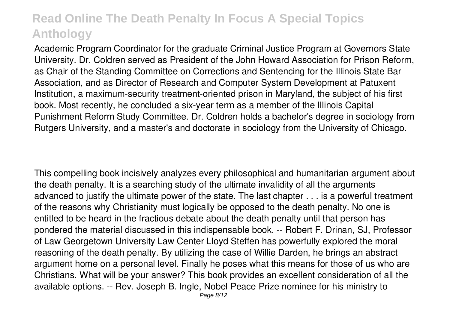Academic Program Coordinator for the graduate Criminal Justice Program at Governors State University. Dr. Coldren served as President of the John Howard Association for Prison Reform, as Chair of the Standing Committee on Corrections and Sentencing for the Illinois State Bar Association, and as Director of Research and Computer System Development at Patuxent Institution, a maximum-security treatment-oriented prison in Maryland, the subject of his first book. Most recently, he concluded a six-year term as a member of the Illinois Capital Punishment Reform Study Committee. Dr. Coldren holds a bachelor's degree in sociology from Rutgers University, and a master's and doctorate in sociology from the University of Chicago.

This compelling book incisively analyzes every philosophical and humanitarian argument about the death penalty. It is a searching study of the ultimate invalidity of all the arguments advanced to justify the ultimate power of the state. The last chapter . . . is a powerful treatment of the reasons why Christianity must logically be opposed to the death penalty. No one is entitled to be heard in the fractious debate about the death penalty until that person has pondered the material discussed in this indispensable book. -- Robert F. Drinan, SJ, Professor of Law Georgetown University Law Center Lloyd Steffen has powerfully explored the moral reasoning of the death penalty. By utilizing the case of Willie Darden, he brings an abstract argument home on a personal level. Finally he poses what this means for those of us who are Christians. What will be your answer? This book provides an excellent consideration of all the available options. -- Rev. Joseph B. Ingle, Nobel Peace Prize nominee for his ministry to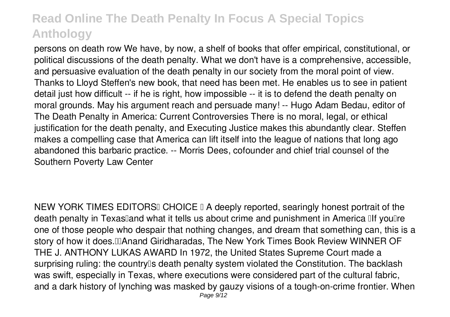persons on death row We have, by now, a shelf of books that offer empirical, constitutional, or political discussions of the death penalty. What we don't have is a comprehensive, accessible, and persuasive evaluation of the death penalty in our society from the moral point of view. Thanks to Lloyd Steffen's new book, that need has been met. He enables us to see in patient detail just how difficult -- if he is right, how impossible -- it is to defend the death penalty on moral grounds. May his argument reach and persuade many! -- Hugo Adam Bedau, editor of The Death Penalty in America: Current Controversies There is no moral, legal, or ethical justification for the death penalty, and Executing Justice makes this abundantly clear. Steffen makes a compelling case that America can lift itself into the league of nations that long ago abandoned this barbaric practice. -- Morris Dees, cofounder and chief trial counsel of the Southern Poverty Law Center

NEW YORK TIMES EDITORSI CHOICE I A deeply reported, searingly honest portrait of the death penalty in Texaslland what it tells us about crime and punishment in America Ilf youllre one of those people who despair that nothing changes, and dream that something can, this is a story of how it does."—Anand Giridharadas, The New York Times Book Review WINNER OF THE J. ANTHONY LUKAS AWARD In 1972, the United States Supreme Court made a surprising ruling: the country<sup>[]</sup>s death penalty system violated the Constitution. The backlash was swift, especially in Texas, where executions were considered part of the cultural fabric, and a dark history of lynching was masked by gauzy visions of a tough-on-crime frontier. When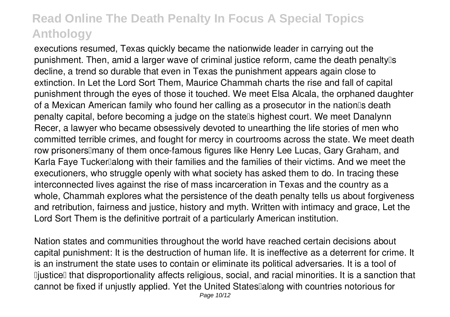executions resumed, Texas quickly became the nationwide leader in carrying out the punishment. Then, amid a larger wave of criminal justice reform, came the death penalty's decline, a trend so durable that even in Texas the punishment appears again close to extinction. In Let the Lord Sort Them, Maurice Chammah charts the rise and fall of capital punishment through the eyes of those it touched. We meet Elsa Alcala, the orphaned daughter of a Mexican American family who found her calling as a prosecutor in the nation<sup>®</sup>s death penalty capital, before becoming a judge on the statells highest court. We meet Danalynn Recer, a lawyer who became obsessively devoted to unearthing the life stories of men who committed terrible crimes, and fought for mercy in courtrooms across the state. We meet death row prisoners<sup>[]</sup>many of them once-famous figures like Henry Lee Lucas, Gary Graham, and Karla Faye Tucker Dalong with their families and the families of their victims. And we meet the executioners, who struggle openly with what society has asked them to do. In tracing these interconnected lives against the rise of mass incarceration in Texas and the country as a whole, Chammah explores what the persistence of the death penalty tells us about forgiveness and retribution, fairness and justice, history and myth. Written with intimacy and grace, Let the Lord Sort Them is the definitive portrait of a particularly American institution.

Nation states and communities throughout the world have reached certain decisions about capital punishment: It is the destruction of human life. It is ineffective as a deterrent for crime. It is an instrument the state uses to contain or eliminate its political adversaries. It is a tool of Diustice that disproportionality affects religious, social, and racial minorities. It is a sanction that cannot be fixed if unjustly applied. Yet the United States along with countries notorious for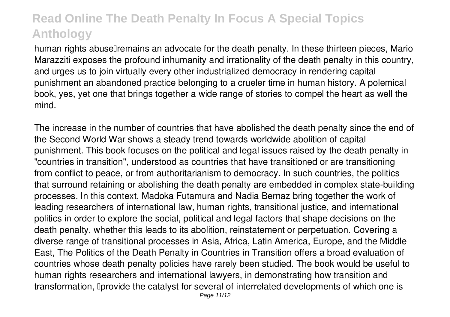human rights abusell remains an advocate for the death penalty. In these thirteen pieces, Mario Marazziti exposes the profound inhumanity and irrationality of the death penalty in this country, and urges us to join virtually every other industrialized democracy in rendering capital punishment an abandoned practice belonging to a crueler time in human history. A polemical book, yes, yet one that brings together a wide range of stories to compel the heart as well the mind.

The increase in the number of countries that have abolished the death penalty since the end of the Second World War shows a steady trend towards worldwide abolition of capital punishment. This book focuses on the political and legal issues raised by the death penalty in "countries in transition", understood as countries that have transitioned or are transitioning from conflict to peace, or from authoritarianism to democracy. In such countries, the politics that surround retaining or abolishing the death penalty are embedded in complex state-building processes. In this context, Madoka Futamura and Nadia Bernaz bring together the work of leading researchers of international law, human rights, transitional justice, and international politics in order to explore the social, political and legal factors that shape decisions on the death penalty, whether this leads to its abolition, reinstatement or perpetuation. Covering a diverse range of transitional processes in Asia, Africa, Latin America, Europe, and the Middle East, The Politics of the Death Penalty in Countries in Transition offers a broad evaluation of countries whose death penalty policies have rarely been studied. The book would be useful to human rights researchers and international lawyers, in demonstrating how transition and transformation, 'provide the catalyst for several of interrelated developments of which one is